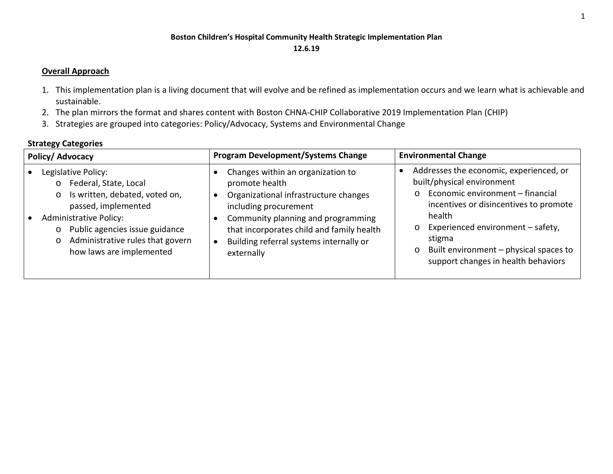## **Boston Children's Hospital Community Health Strategic Implementation Plan 12.6.19**

## **Overall Approach**

- 1. This implementation plan is a living document that will evolve and be refined as implementation occurs and we learn what is achievable and sustainable.
- 2. The plan mirrors the format and shares content with Boston CHNA-CHIP Collaborative 2019 Implementation Plan (CHIP)
- 3. Strategies are grouped into categories: Policy/Advocacy, Systems and Environmental Change

## **Strategy Categories**

| Policy/Advocacy                                                                                                                                                                                                                                                                      | <b>Program Development/Systems Change</b>                                                                                                                                                                                                                         | <b>Environmental Change</b>                                                                                                                                                                                                                                                                                                    |
|--------------------------------------------------------------------------------------------------------------------------------------------------------------------------------------------------------------------------------------------------------------------------------------|-------------------------------------------------------------------------------------------------------------------------------------------------------------------------------------------------------------------------------------------------------------------|--------------------------------------------------------------------------------------------------------------------------------------------------------------------------------------------------------------------------------------------------------------------------------------------------------------------------------|
| Legislative Policy:<br>Federal, State, Local<br>$\circ$<br>Is written, debated, voted on,<br>$\circ$<br>passed, implemented<br><b>Administrative Policy:</b><br>Public agencies issue guidance<br>$\circ$<br>Administrative rules that govern<br>$\circ$<br>how laws are implemented | Changes within an organization to<br>promote health<br>Organizational infrastructure changes<br>including procurement<br>Community planning and programming<br>that incorporates child and family health<br>Building referral systems internally or<br>externally | Addresses the economic, experienced, or<br>built/physical environment<br>Economic environment - financial<br>$\circ$<br>incentives or disincentives to promote<br>health<br>Experienced environment - safety,<br>$\circ$<br>stigma<br>Built environment - physical spaces to<br>$\circ$<br>support changes in health behaviors |